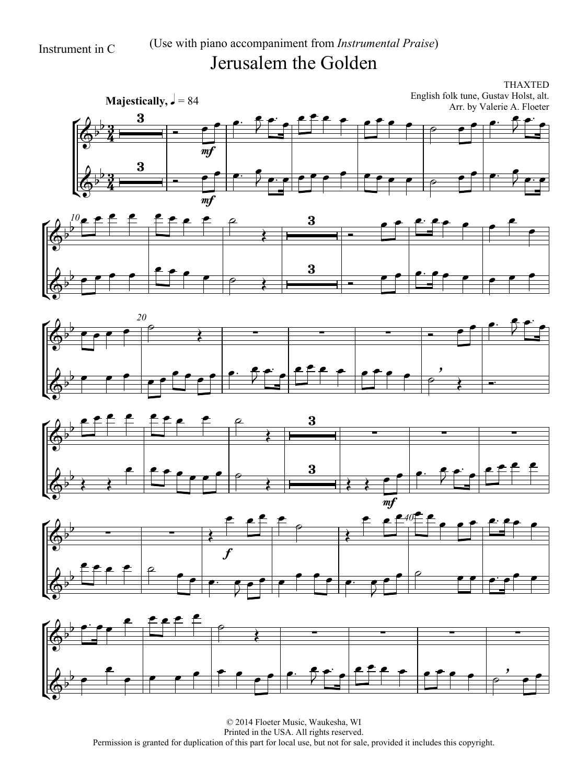## Instrument in C (Use with piano accompaniment from *Instrumental Praise*) Jerusalem the Golden